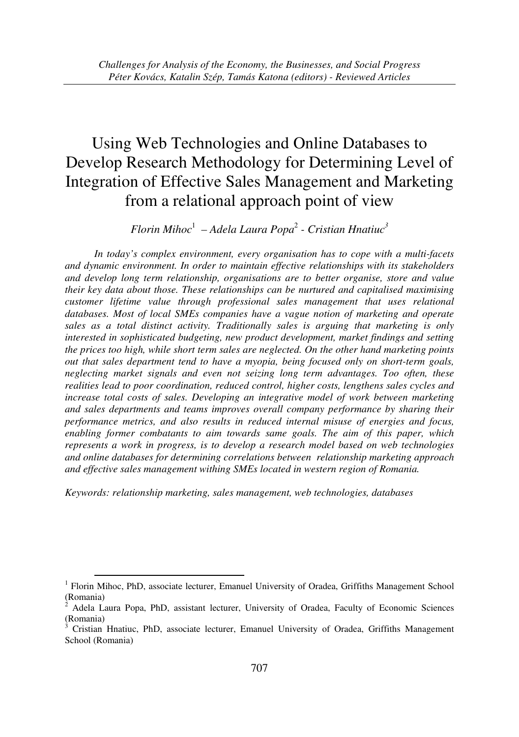*Florin Mihoc*<sup>1</sup>  *– Adela Laura Popa*<sup>2</sup>  *- Cristian Hnatiuc<sup>3</sup>*

*In today's complex environment, every organisation has to cope with a multi-facets and dynamic environment. In order to maintain effective relationships with its stakeholders and develop long term relationship, organisations are to better organise, store and value their key data about those. These relationships can be nurtured and capitalised maximising customer lifetime value through professional sales management that uses relational databases. Most of local SMEs companies have a vague notion of marketing and operate sales as a total distinct activity. Traditionally sales is arguing that marketing is only interested in sophisticated budgeting, new product development, market findings and setting the prices too high, while short term sales are neglected. On the other hand marketing points out that sales department tend to have a myopia, being focused only on short-term goals, neglecting market signals and even not seizing long term advantages. Too often, these realities lead to poor coordination, reduced control, higher costs, lengthens sales cycles and increase total costs of sales. Developing an integrative model of work between marketing and sales departments and teams improves overall company performance by sharing their performance metrics, and also results in reduced internal misuse of energies and focus, enabling former combatants to aim towards same goals. The aim of this paper, which represents a work in progress, is to develop a research model based on web technologies and online databases for determining correlations between relationship marketing approach and effective sales management withing SMEs located in western region of Romania.* 

*Keywords: relationship marketing, sales management, web technologies, databases* 

-

<sup>&</sup>lt;sup>1</sup> Florin Mihoc, PhD, associate lecturer, Emanuel University of Oradea, Griffiths Management School (Romania)

<sup>2</sup> Adela Laura Popa, PhD, assistant lecturer, University of Oradea, Faculty of Economic Sciences (Romania)

<sup>3</sup> Cristian Hnatiuc, PhD, associate lecturer, Emanuel University of Oradea, Griffiths Management School (Romania)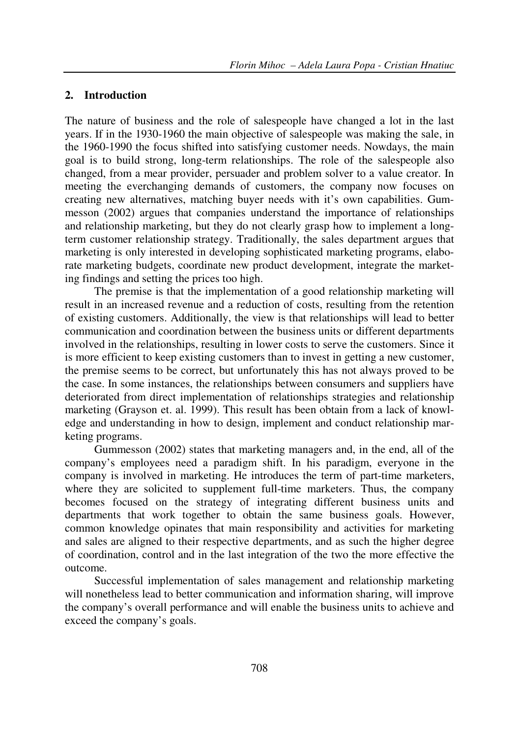### **2. Introduction**

The nature of business and the role of salespeople have changed a lot in the last years. If in the 1930-1960 the main objective of salespeople was making the sale, in the 1960-1990 the focus shifted into satisfying customer needs. Nowdays, the main goal is to build strong, long-term relationships. The role of the salespeople also changed, from a mear provider, persuader and problem solver to a value creator. In meeting the everchanging demands of customers, the company now focuses on creating new alternatives, matching buyer needs with it's own capabilities. Gummesson (2002) argues that companies understand the importance of relationships and relationship marketing, but they do not clearly grasp how to implement a longterm customer relationship strategy. Traditionally, the sales department argues that marketing is only interested in developing sophisticated marketing programs, elaborate marketing budgets, coordinate new product development, integrate the marketing findings and setting the prices too high.

The premise is that the implementation of a good relationship marketing will result in an increased revenue and a reduction of costs, resulting from the retention of existing customers. Additionally, the view is that relationships will lead to better communication and coordination between the business units or different departments involved in the relationships, resulting in lower costs to serve the customers. Since it is more efficient to keep existing customers than to invest in getting a new customer, the premise seems to be correct, but unfortunately this has not always proved to be the case. In some instances, the relationships between consumers and suppliers have deteriorated from direct implementation of relationships strategies and relationship marketing (Grayson et. al. 1999). This result has been obtain from a lack of knowledge and understanding in how to design, implement and conduct relationship marketing programs.

Gummesson (2002) states that marketing managers and, in the end, all of the company's employees need a paradigm shift. In his paradigm, everyone in the company is involved in marketing. He introduces the term of part-time marketers, where they are solicited to supplement full-time marketers. Thus, the company becomes focused on the strategy of integrating different business units and departments that work together to obtain the same business goals. However, common knowledge opinates that main responsibility and activities for marketing and sales are aligned to their respective departments, and as such the higher degree of coordination, control and in the last integration of the two the more effective the outcome.

Successful implementation of sales management and relationship marketing will nonetheless lead to better communication and information sharing, will improve the company's overall performance and will enable the business units to achieve and exceed the company's goals.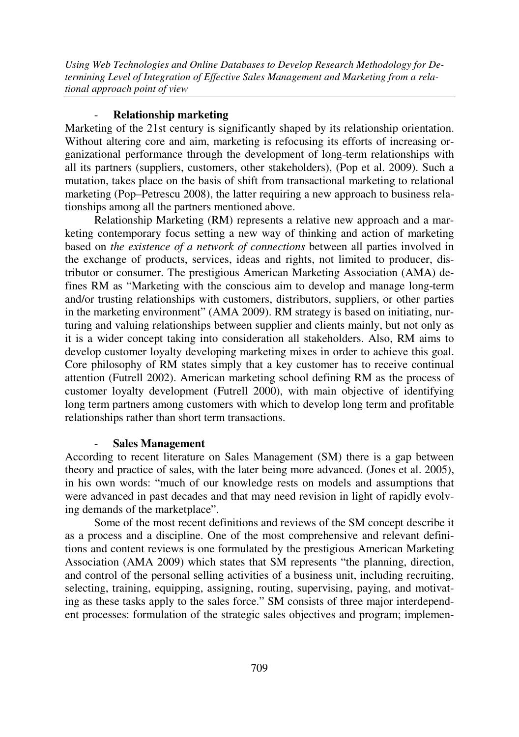# - **Relationship marketing**

Marketing of the 21st century is significantly shaped by its relationship orientation. Without altering core and aim, marketing is refocusing its efforts of increasing organizational performance through the development of long-term relationships with all its partners (suppliers, customers, other stakeholders), (Pop et al. 2009). Such a mutation, takes place on the basis of shift from transactional marketing to relational marketing (Pop–Petrescu 2008), the latter requiring a new approach to business relationships among all the partners mentioned above.

Relationship Marketing (RM) represents a relative new approach and a marketing contemporary focus setting a new way of thinking and action of marketing based on *the existence of a network of connections* between all parties involved in the exchange of products, services, ideas and rights, not limited to producer, distributor or consumer. The prestigious American Marketing Association (AMA) defines RM as "Marketing with the conscious aim to develop and manage long-term and/or trusting relationships with customers, distributors, suppliers, or other parties in the marketing environment" (AMA 2009). RM strategy is based on initiating, nurturing and valuing relationships between supplier and clients mainly, but not only as it is a wider concept taking into consideration all stakeholders. Also, RM aims to develop customer loyalty developing marketing mixes in order to achieve this goal. Core philosophy of RM states simply that a key customer has to receive continual attention (Futrell 2002). American marketing school defining RM as the process of customer loyalty development (Futrell 2000), with main objective of identifying long term partners among customers with which to develop long term and profitable relationships rather than short term transactions.

## - **Sales Management**

According to recent literature on Sales Management (SM) there is a gap between theory and practice of sales, with the later being more advanced. (Jones et al. 2005), in his own words: "much of our knowledge rests on models and assumptions that were advanced in past decades and that may need revision in light of rapidly evolving demands of the marketplace".

Some of the most recent definitions and reviews of the SM concept describe it as a process and a discipline. One of the most comprehensive and relevant definitions and content reviews is one formulated by the prestigious American Marketing Association (AMA 2009) which states that SM represents "the planning, direction, and control of the personal selling activities of a business unit, including recruiting, selecting, training, equipping, assigning, routing, supervising, paying, and motivating as these tasks apply to the sales force." SM consists of three major interdependent processes: formulation of the strategic sales objectives and program; implemen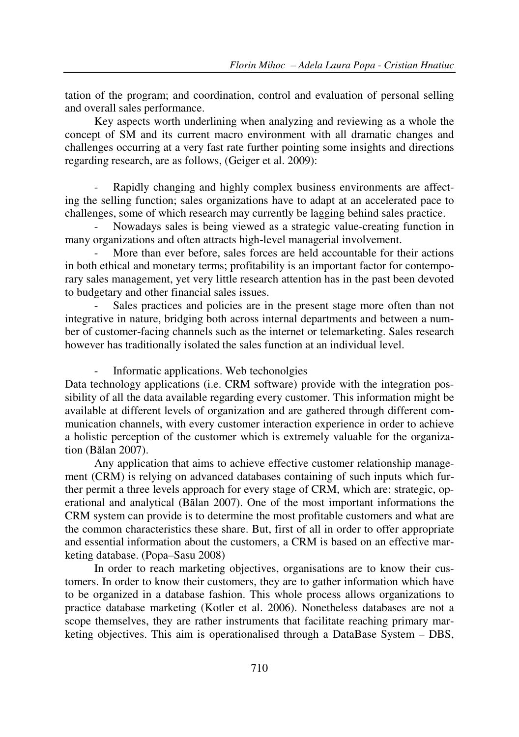tation of the program; and coordination, control and evaluation of personal selling and overall sales performance.

Key aspects worth underlining when analyzing and reviewing as a whole the concept of SM and its current macro environment with all dramatic changes and challenges occurring at a very fast rate further pointing some insights and directions regarding research, are as follows, (Geiger et al. 2009):

Rapidly changing and highly complex business environments are affecting the selling function; sales organizations have to adapt at an accelerated pace to challenges, some of which research may currently be lagging behind sales practice.

- Nowadays sales is being viewed as a strategic value-creating function in many organizations and often attracts high-level managerial involvement.

More than ever before, sales forces are held accountable for their actions in both ethical and monetary terms; profitability is an important factor for contemporary sales management, yet very little research attention has in the past been devoted to budgetary and other financial sales issues.

Sales practices and policies are in the present stage more often than not integrative in nature, bridging both across internal departments and between a number of customer-facing channels such as the internet or telemarketing. Sales research however has traditionally isolated the sales function at an individual level.

Informatic applications. Web techonolgies

Data technology applications (i.e. CRM software) provide with the integration possibility of all the data available regarding every customer. This information might be available at different levels of organization and are gathered through different communication channels, with every customer interaction experience in order to achieve a holistic perception of the customer which is extremely valuable for the organization (Bălan 2007).

Any application that aims to achieve effective customer relationship management (CRM) is relying on advanced databases containing of such inputs which further permit a three levels approach for every stage of CRM, which are: strategic, operational and analytical (Bălan 2007). One of the most important informations the CRM system can provide is to determine the most profitable customers and what are the common characteristics these share. But, first of all in order to offer appropriate and essential information about the customers, a CRM is based on an effective marketing database. (Popa–Sasu 2008)

In order to reach marketing objectives, organisations are to know their customers. In order to know their customers, they are to gather information which have to be organized in a database fashion. This whole process allows organizations to practice database marketing (Kotler et al. 2006). Nonetheless databases are not a scope themselves, they are rather instruments that facilitate reaching primary marketing objectives. This aim is operationalised through a DataBase System – DBS,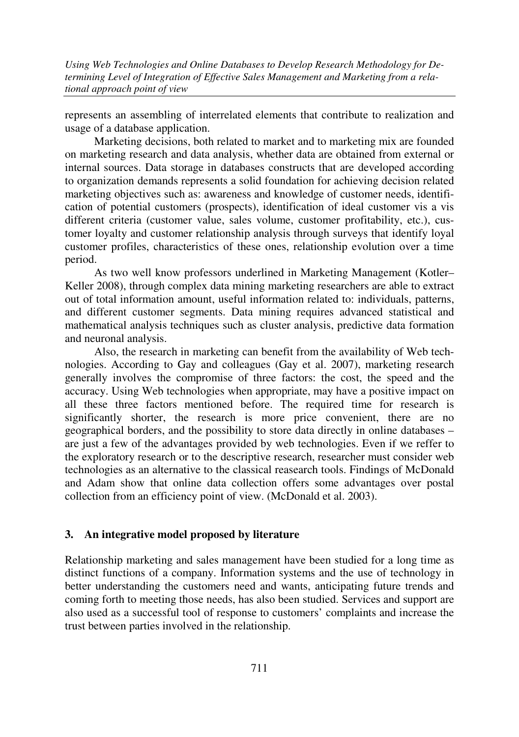represents an assembling of interrelated elements that contribute to realization and usage of a database application.

Marketing decisions, both related to market and to marketing mix are founded on marketing research and data analysis, whether data are obtained from external or internal sources. Data storage in databases constructs that are developed according to organization demands represents a solid foundation for achieving decision related marketing objectives such as: awareness and knowledge of customer needs, identification of potential customers (prospects), identification of ideal customer vis a vis different criteria (customer value, sales volume, customer profitability, etc.), customer loyalty and customer relationship analysis through surveys that identify loyal customer profiles, characteristics of these ones, relationship evolution over a time period.

As two well know professors underlined in Marketing Management (Kotler– Keller 2008), through complex data mining marketing researchers are able to extract out of total information amount, useful information related to: individuals, patterns, and different customer segments. Data mining requires advanced statistical and mathematical analysis techniques such as cluster analysis, predictive data formation and neuronal analysis.

Also, the research in marketing can benefit from the availability of Web technologies. According to Gay and colleagues (Gay et al. 2007), marketing research generally involves the compromise of three factors: the cost, the speed and the accuracy. Using Web technologies when appropriate, may have a positive impact on all these three factors mentioned before. The required time for research is significantly shorter, the research is more price convenient, there are no geographical borders, and the possibility to store data directly in online databases – are just a few of the advantages provided by web technologies. Even if we reffer to the exploratory research or to the descriptive research, researcher must consider web technologies as an alternative to the classical reasearch tools. Findings of McDonald and Adam show that online data collection offers some advantages over postal collection from an efficiency point of view. (McDonald et al. 2003).

## **3. An integrative model proposed by literature**

Relationship marketing and sales management have been studied for a long time as distinct functions of a company. Information systems and the use of technology in better understanding the customers need and wants, anticipating future trends and coming forth to meeting those needs, has also been studied. Services and support are also used as a successful tool of response to customers' complaints and increase the trust between parties involved in the relationship.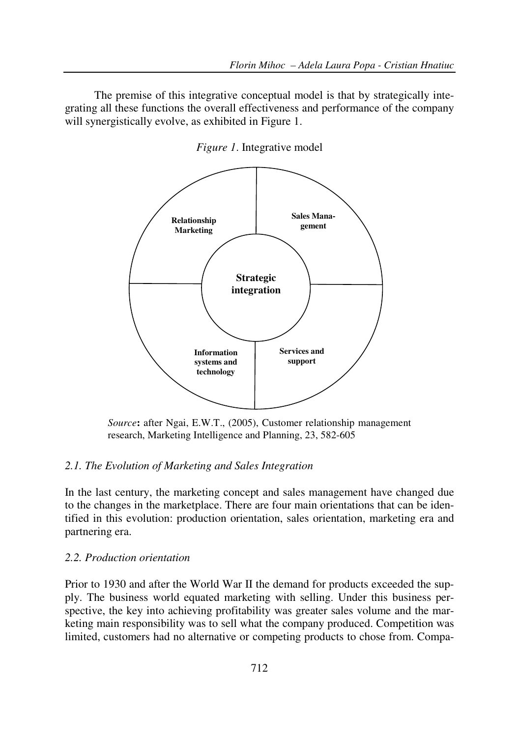The premise of this integrative conceptual model is that by strategically integrating all these functions the overall effectiveness and performance of the company will synergistically evolve, as exhibited in Figure 1.



*Figure 1*. Integrative model

*Source***:** after Ngai, E.W.T., (2005), Customer relationship management research, Marketing Intelligence and Planning, 23, 582-605

# *2.1. The Evolution of Marketing and Sales Integration*

In the last century, the marketing concept and sales management have changed due to the changes in the marketplace. There are four main orientations that can be identified in this evolution: production orientation, sales orientation, marketing era and partnering era.

#### *2.2. Production orientation*

Prior to 1930 and after the World War II the demand for products exceeded the supply. The business world equated marketing with selling. Under this business perspective, the key into achieving profitability was greater sales volume and the marketing main responsibility was to sell what the company produced. Competition was limited, customers had no alternative or competing products to chose from. Compa-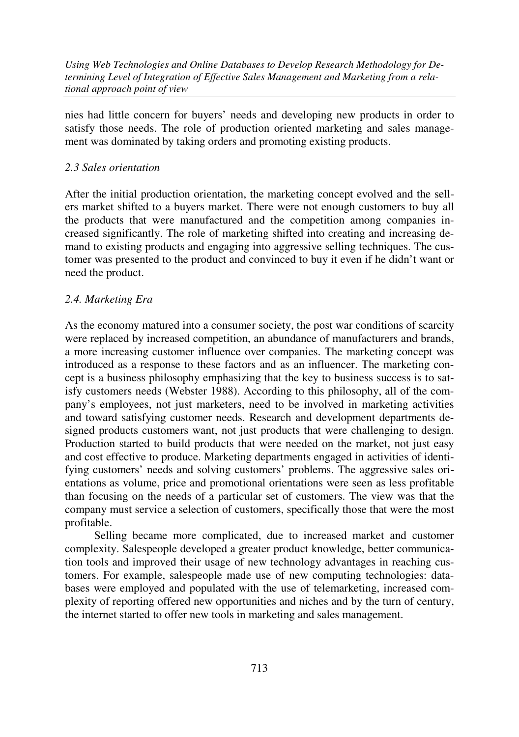nies had little concern for buyers' needs and developing new products in order to satisfy those needs. The role of production oriented marketing and sales management was dominated by taking orders and promoting existing products.

## *2.3 Sales orientation*

After the initial production orientation, the marketing concept evolved and the sellers market shifted to a buyers market. There were not enough customers to buy all the products that were manufactured and the competition among companies increased significantly. The role of marketing shifted into creating and increasing demand to existing products and engaging into aggressive selling techniques. The customer was presented to the product and convinced to buy it even if he didn't want or need the product.

#### *2.4. Marketing Era*

As the economy matured into a consumer society, the post war conditions of scarcity were replaced by increased competition, an abundance of manufacturers and brands, a more increasing customer influence over companies. The marketing concept was introduced as a response to these factors and as an influencer. The marketing concept is a business philosophy emphasizing that the key to business success is to satisfy customers needs (Webster 1988). According to this philosophy, all of the company's employees, not just marketers, need to be involved in marketing activities and toward satisfying customer needs. Research and development departments designed products customers want, not just products that were challenging to design. Production started to build products that were needed on the market, not just easy and cost effective to produce. Marketing departments engaged in activities of identifying customers' needs and solving customers' problems. The aggressive sales orientations as volume, price and promotional orientations were seen as less profitable than focusing on the needs of a particular set of customers. The view was that the company must service a selection of customers, specifically those that were the most profitable.

 Selling became more complicated, due to increased market and customer complexity. Salespeople developed a greater product knowledge, better communication tools and improved their usage of new technology advantages in reaching customers. For example, salespeople made use of new computing technologies: databases were employed and populated with the use of telemarketing, increased complexity of reporting offered new opportunities and niches and by the turn of century, the internet started to offer new tools in marketing and sales management.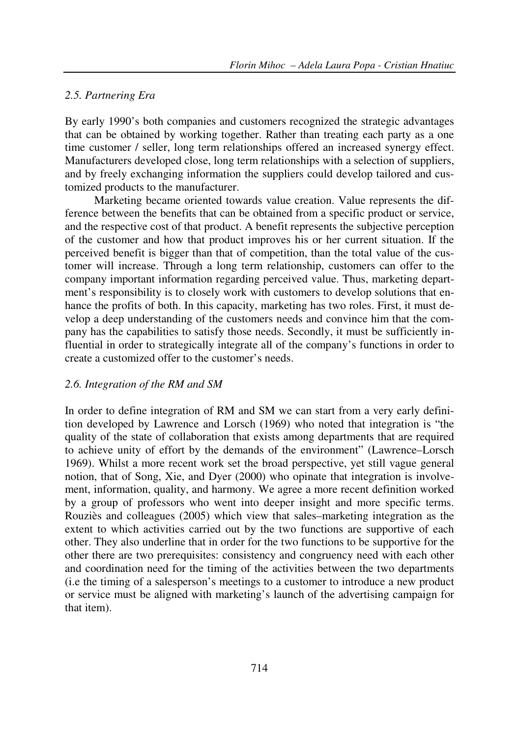#### *2.5. Partnering Era*

By early 1990's both companies and customers recognized the strategic advantages that can be obtained by working together. Rather than treating each party as a one time customer / seller, long term relationships offered an increased synergy effect. Manufacturers developed close, long term relationships with a selection of suppliers, and by freely exchanging information the suppliers could develop tailored and customized products to the manufacturer.

 Marketing became oriented towards value creation. Value represents the difference between the benefits that can be obtained from a specific product or service, and the respective cost of that product. A benefit represents the subjective perception of the customer and how that product improves his or her current situation. If the perceived benefit is bigger than that of competition, than the total value of the customer will increase. Through a long term relationship, customers can offer to the company important information regarding perceived value. Thus, marketing department's responsibility is to closely work with customers to develop solutions that enhance the profits of both. In this capacity, marketing has two roles. First, it must develop a deep understanding of the customers needs and convince him that the company has the capabilities to satisfy those needs. Secondly, it must be sufficiently influential in order to strategically integrate all of the company's functions in order to create a customized offer to the customer's needs.

#### *2.6. Integration of the RM and SM*

In order to define integration of RM and SM we can start from a very early definition developed by Lawrence and Lorsch (1969) who noted that integration is "the quality of the state of collaboration that exists among departments that are required to achieve unity of effort by the demands of the environment" (Lawrence–Lorsch 1969). Whilst a more recent work set the broad perspective, yet still vague general notion, that of Song, Xie, and Dyer (2000) who opinate that integration is involvement, information, quality, and harmony. We agree a more recent definition worked by a group of professors who went into deeper insight and more specific terms. Rouziès and colleagues (2005) which view that sales–marketing integration as the extent to which activities carried out by the two functions are supportive of each other. They also underline that in order for the two functions to be supportive for the other there are two prerequisites: consistency and congruency need with each other and coordination need for the timing of the activities between the two departments (i.e the timing of a salesperson's meetings to a customer to introduce a new product or service must be aligned with marketing's launch of the advertising campaign for that item).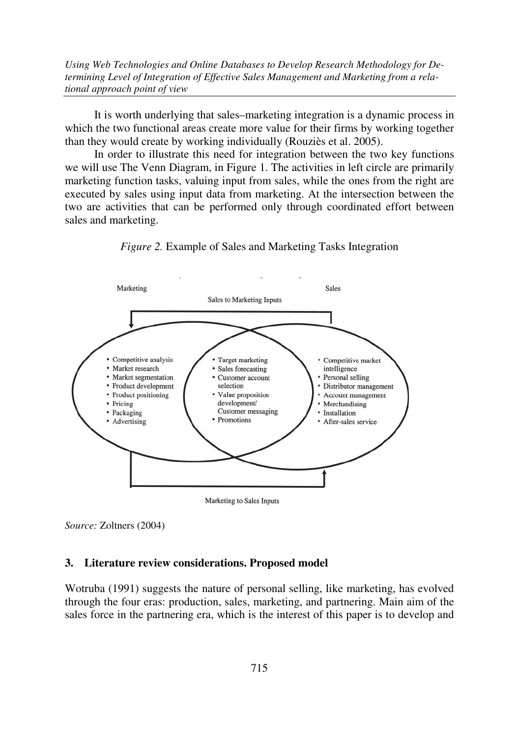It is worth underlying that sales–marketing integration is a dynamic process in which the two functional areas create more value for their firms by working together than they would create by working individually (Rouziès et al. 2005).

In order to illustrate this need for integration between the two key functions we will use The Venn Diagram, in Figure 1. The activities in left circle are primarily marketing function tasks, valuing input from sales, while the ones from the right are executed by sales using input data from marketing. At the intersection between the two are activities that can be performed only through coordinated effort between sales and marketing.



*Figure 2.* Example of Sales and Marketing Tasks Integration

#### **3. Literature review considerations. Proposed model**

Wotruba (1991) suggests the nature of personal selling, like marketing, has evolved through the four eras: production, sales, marketing, and partnering. Main aim of the sales force in the partnering era, which is the interest of this paper is to develop and

*Source:* Zoltners (2004)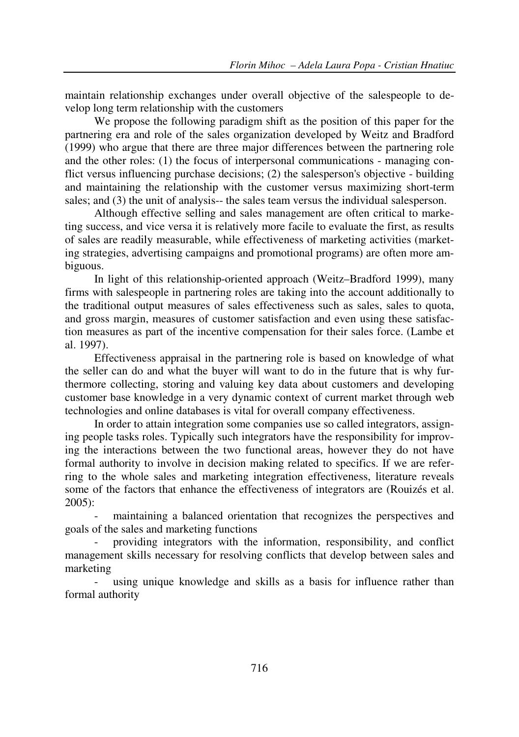maintain relationship exchanges under overall objective of the salespeople to develop long term relationship with the customers

We propose the following paradigm shift as the position of this paper for the partnering era and role of the sales organization developed by Weitz and Bradford (1999) who argue that there are three major differences between the partnering role and the other roles: (1) the focus of interpersonal communications - managing conflict versus influencing purchase decisions; (2) the salesperson's objective - building and maintaining the relationship with the customer versus maximizing short-term sales; and (3) the unit of analysis-- the sales team versus the individual salesperson.

Although effective selling and sales management are often critical to marketing success, and vice versa it is relatively more facile to evaluate the first, as results of sales are readily measurable, while effectiveness of marketing activities (marketing strategies, advertising campaigns and promotional programs) are often more ambiguous.

In light of this relationship-oriented approach (Weitz–Bradford 1999), many firms with salespeople in partnering roles are taking into the account additionally to the traditional output measures of sales effectiveness such as sales, sales to quota, and gross margin, measures of customer satisfaction and even using these satisfaction measures as part of the incentive compensation for their sales force. (Lambe et al. 1997).

Effectiveness appraisal in the partnering role is based on knowledge of what the seller can do and what the buyer will want to do in the future that is why furthermore collecting, storing and valuing key data about customers and developing customer base knowledge in a very dynamic context of current market through web technologies and online databases is vital for overall company effectiveness.

In order to attain integration some companies use so called integrators, assigning people tasks roles. Typically such integrators have the responsibility for improving the interactions between the two functional areas, however they do not have formal authority to involve in decision making related to specifics. If we are referring to the whole sales and marketing integration effectiveness, literature reveals some of the factors that enhance the effectiveness of integrators are (Rouizés et al. 2005):

maintaining a balanced orientation that recognizes the perspectives and goals of the sales and marketing functions

- providing integrators with the information, responsibility, and conflict management skills necessary for resolving conflicts that develop between sales and marketing

- using unique knowledge and skills as a basis for influence rather than formal authority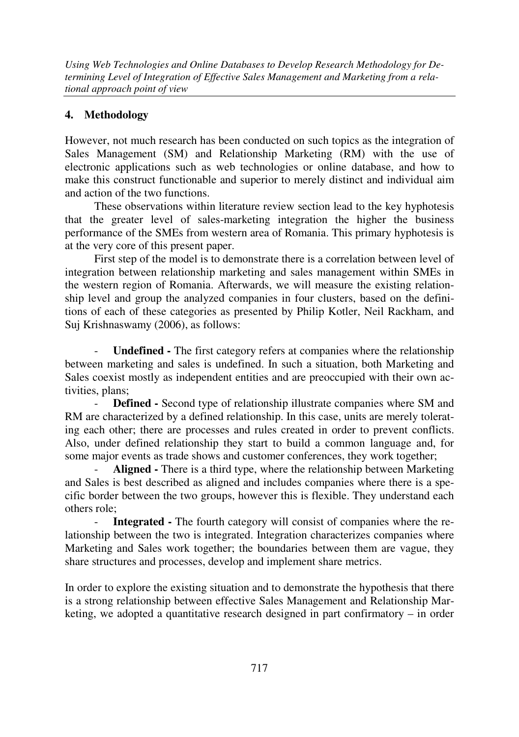# **4. Methodology**

However, not much research has been conducted on such topics as the integration of Sales Management (SM) and Relationship Marketing (RM) with the use of electronic applications such as web technologies or online database, and how to make this construct functionable and superior to merely distinct and individual aim and action of the two functions.

These observations within literature review section lead to the key hyphotesis that the greater level of sales-marketing integration the higher the business performance of the SMEs from western area of Romania. This primary hyphotesis is at the very core of this present paper.

First step of the model is to demonstrate there is a correlation between level of integration between relationship marketing and sales management within SMEs in the western region of Romania. Afterwards, we will measure the existing relationship level and group the analyzed companies in four clusters, based on the definitions of each of these categories as presented by Philip Kotler, Neil Rackham, and Suj Krishnaswamy (2006), as follows:

Undefined - The first category refers at companies where the relationship between marketing and sales is undefined. In such a situation, both Marketing and Sales coexist mostly as independent entities and are preoccupied with their own activities, plans;

- **Defined -** Second type of relationship illustrate companies where SM and RM are characterized by a defined relationship. In this case, units are merely tolerating each other; there are processes and rules created in order to prevent conflicts. Also, under defined relationship they start to build a common language and, for some major events as trade shows and customer conferences, they work together;

- **Aligned -** There is a third type, where the relationship between Marketing and Sales is best described as aligned and includes companies where there is a specific border between the two groups, however this is flexible. They understand each others role;

- **Integrated -** The fourth category will consist of companies where the relationship between the two is integrated. Integration characterizes companies where Marketing and Sales work together; the boundaries between them are vague, they share structures and processes, develop and implement share metrics.

In order to explore the existing situation and to demonstrate the hypothesis that there is a strong relationship between effective Sales Management and Relationship Marketing, we adopted a quantitative research designed in part confirmatory – in order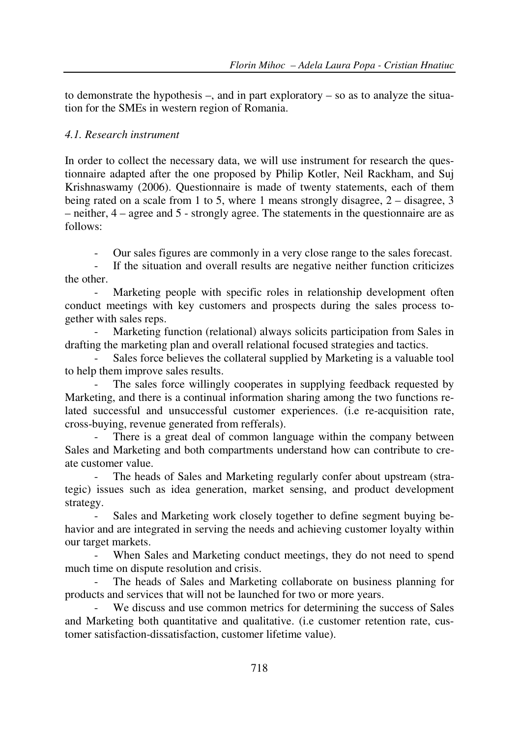to demonstrate the hypothesis  $-$ , and in part exploratory  $-$  so as to analyze the situation for the SMEs in western region of Romania.

# *4.1. Research instrument*

In order to collect the necessary data, we will use instrument for research the questionnaire adapted after the one proposed by Philip Kotler, Neil Rackham, and Suj Krishnaswamy (2006). Questionnaire is made of twenty statements, each of them being rated on a scale from 1 to 5, where 1 means strongly disagree, 2 – disagree, 3 – neither, 4 – agree and 5 - strongly agree. The statements in the questionnaire are as follows:

- Our sales figures are commonly in a very close range to the sales forecast.

If the situation and overall results are negative neither function criticizes the other.

Marketing people with specific roles in relationship development often conduct meetings with key customers and prospects during the sales process together with sales reps.

Marketing function (relational) always solicits participation from Sales in drafting the marketing plan and overall relational focused strategies and tactics.

Sales force believes the collateral supplied by Marketing is a valuable tool to help them improve sales results.

The sales force willingly cooperates in supplying feedback requested by Marketing, and there is a continual information sharing among the two functions related successful and unsuccessful customer experiences. (i.e re-acquisition rate, cross-buying, revenue generated from refferals).

There is a great deal of common language within the company between Sales and Marketing and both compartments understand how can contribute to create customer value.

The heads of Sales and Marketing regularly confer about upstream (strategic) issues such as idea generation, market sensing, and product development strategy.

- Sales and Marketing work closely together to define segment buying behavior and are integrated in serving the needs and achieving customer loyalty within our target markets.

When Sales and Marketing conduct meetings, they do not need to spend much time on dispute resolution and crisis.

The heads of Sales and Marketing collaborate on business planning for products and services that will not be launched for two or more years.

We discuss and use common metrics for determining the success of Sales and Marketing both quantitative and qualitative. (i.e customer retention rate, customer satisfaction-dissatisfaction, customer lifetime value).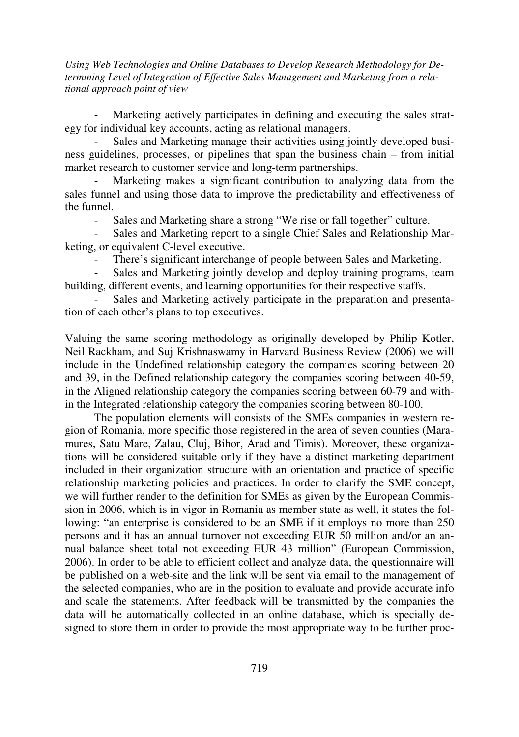Marketing actively participates in defining and executing the sales strategy for individual key accounts, acting as relational managers.

- Sales and Marketing manage their activities using jointly developed business guidelines, processes, or pipelines that span the business chain – from initial market research to customer service and long-term partnerships.

Marketing makes a significant contribution to analyzing data from the sales funnel and using those data to improve the predictability and effectiveness of the funnel.

- Sales and Marketing share a strong "We rise or fall together" culture.

Sales and Marketing report to a single Chief Sales and Relationship Marketing, or equivalent C-level executive.

There's significant interchange of people between Sales and Marketing.

Sales and Marketing jointly develop and deploy training programs, team building, different events, and learning opportunities for their respective staffs.

Sales and Marketing actively participate in the preparation and presentation of each other's plans to top executives.

Valuing the same scoring methodology as originally developed by Philip Kotler, Neil Rackham, and Suj Krishnaswamy in Harvard Business Review (2006) we will include in the Undefined relationship category the companies scoring between 20 and 39, in the Defined relationship category the companies scoring between 40-59, in the Aligned relationship category the companies scoring between 60-79 and within the Integrated relationship category the companies scoring between 80-100.

The population elements will consists of the SMEs companies in western region of Romania, more specific those registered in the area of seven counties (Maramures, Satu Mare, Zalau, Cluj, Bihor, Arad and Timis). Moreover, these organizations will be considered suitable only if they have a distinct marketing department included in their organization structure with an orientation and practice of specific relationship marketing policies and practices. In order to clarify the SME concept, we will further render to the definition for SMEs as given by the European Commission in 2006, which is in vigor in Romania as member state as well, it states the following: "an enterprise is considered to be an SME if it employs no more than 250 persons and it has an annual turnover not exceeding EUR 50 million and/or an annual balance sheet total not exceeding EUR 43 million" (European Commission, 2006). In order to be able to efficient collect and analyze data, the questionnaire will be published on a web-site and the link will be sent via email to the management of the selected companies, who are in the position to evaluate and provide accurate info and scale the statements. After feedback will be transmitted by the companies the data will be automatically collected in an online database, which is specially designed to store them in order to provide the most appropriate way to be further proc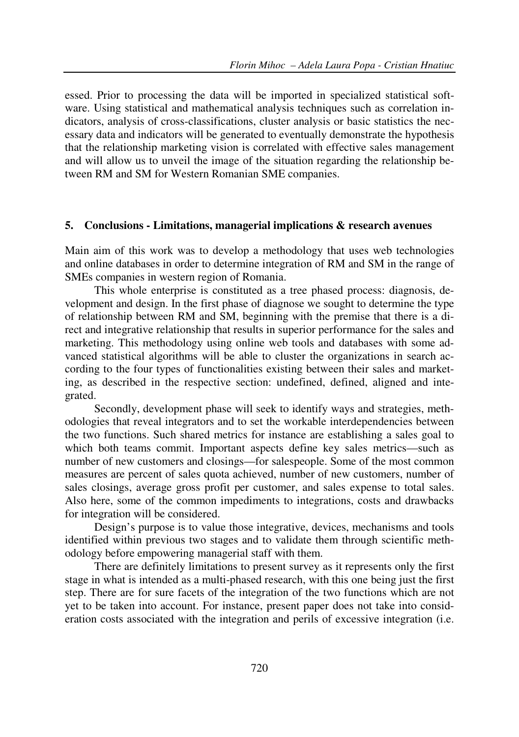essed. Prior to processing the data will be imported in specialized statistical software. Using statistical and mathematical analysis techniques such as correlation indicators, analysis of cross-classifications, cluster analysis or basic statistics the necessary data and indicators will be generated to eventually demonstrate the hypothesis that the relationship marketing vision is correlated with effective sales management and will allow us to unveil the image of the situation regarding the relationship between RM and SM for Western Romanian SME companies.

### **5. Conclusions - Limitations, managerial implications & research avenues**

Main aim of this work was to develop a methodology that uses web technologies and online databases in order to determine integration of RM and SM in the range of SMEs companies in western region of Romania.

This whole enterprise is constituted as a tree phased process: diagnosis, development and design. In the first phase of diagnose we sought to determine the type of relationship between RM and SM, beginning with the premise that there is a direct and integrative relationship that results in superior performance for the sales and marketing. This methodology using online web tools and databases with some advanced statistical algorithms will be able to cluster the organizations in search according to the four types of functionalities existing between their sales and marketing, as described in the respective section: undefined, defined, aligned and integrated.

Secondly, development phase will seek to identify ways and strategies, methodologies that reveal integrators and to set the workable interdependencies between the two functions. Such shared metrics for instance are establishing a sales goal to which both teams commit. Important aspects define key sales metrics—such as number of new customers and closings—for salespeople. Some of the most common measures are percent of sales quota achieved, number of new customers, number of sales closings, average gross profit per customer, and sales expense to total sales. Also here, some of the common impediments to integrations, costs and drawbacks for integration will be considered.

Design's purpose is to value those integrative, devices, mechanisms and tools identified within previous two stages and to validate them through scientific methodology before empowering managerial staff with them.

There are definitely limitations to present survey as it represents only the first stage in what is intended as a multi-phased research, with this one being just the first step. There are for sure facets of the integration of the two functions which are not yet to be taken into account. For instance, present paper does not take into consideration costs associated with the integration and perils of excessive integration (i.e.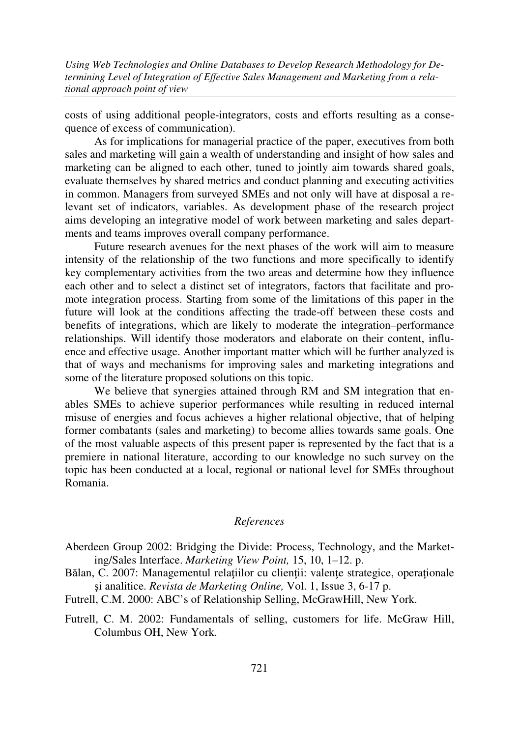costs of using additional people-integrators, costs and efforts resulting as a consequence of excess of communication).

As for implications for managerial practice of the paper, executives from both sales and marketing will gain a wealth of understanding and insight of how sales and marketing can be aligned to each other, tuned to jointly aim towards shared goals, evaluate themselves by shared metrics and conduct planning and executing activities in common. Managers from surveyed SMEs and not only will have at disposal a relevant set of indicators, variables. As development phase of the research project aims developing an integrative model of work between marketing and sales departments and teams improves overall company performance.

Future research avenues for the next phases of the work will aim to measure intensity of the relationship of the two functions and more specifically to identify key complementary activities from the two areas and determine how they influence each other and to select a distinct set of integrators, factors that facilitate and promote integration process. Starting from some of the limitations of this paper in the future will look at the conditions affecting the trade-off between these costs and benefits of integrations, which are likely to moderate the integration–performance relationships. Will identify those moderators and elaborate on their content, influence and effective usage. Another important matter which will be further analyzed is that of ways and mechanisms for improving sales and marketing integrations and some of the literature proposed solutions on this topic.

We believe that synergies attained through RM and SM integration that enables SMEs to achieve superior performances while resulting in reduced internal misuse of energies and focus achieves a higher relational objective, that of helping former combatants (sales and marketing) to become allies towards same goals. One of the most valuable aspects of this present paper is represented by the fact that is a premiere in national literature, according to our knowledge no such survey on the topic has been conducted at a local, regional or national level for SMEs throughout Romania.

#### *References*

Aberdeen Group 2002: Bridging the Divide: Process, Technology, and the Marketing/Sales Interface. *Marketing View Point,* 15, 10, 1–12. p.

Bălan, C. 2007: Managementul relatiilor cu clientii: valente strategice, operationale şi analitice. *Revista de Marketing Online,* Vol. 1, Issue 3, 6-17 p.

Futrell, C.M. 2000: ABC's of Relationship Selling, McGrawHill, New York.

Futrell, C. M. 2002: Fundamentals of selling, customers for life. McGraw Hill, Columbus OH, New York.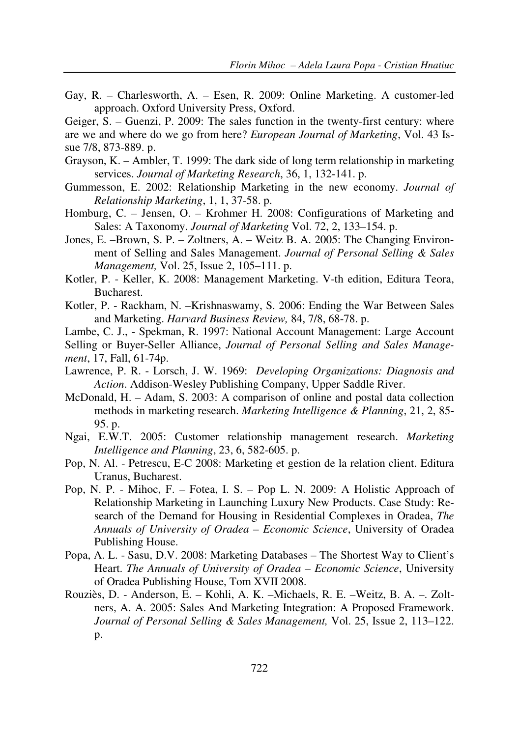Gay, R. – Charlesworth, A. – Esen, R. 2009: Online Marketing. A customer-led approach. Oxford University Press, Oxford.

Geiger, S. – Guenzi, P. 2009: The sales function in the twenty-first century: where are we and where do we go from here? *European Journal of Marketing*, Vol. 43 Issue 7/8, 873-889. p.

- Grayson, K. Ambler, T. 1999: The dark side of long term relationship in marketing services. *Journal of Marketing Research*, 36, 1, 132-141. p.
- Gummesson, E. 2002: Relationship Marketing in the new economy. *Journal of Relationship Marketing*, 1, 1, 37-58. p.
- Homburg, C. Jensen, O. Krohmer H. 2008: Configurations of Marketing and Sales: A Taxonomy. *Journal of Marketing* Vol. 72, 2, 133–154. p.
- Jones, E. –Brown, S. P. Zoltners, A. Weitz B. A. 2005: The Changing Environment of Selling and Sales Management. *Journal of Personal Selling & Sales Management,* Vol. 25, Issue 2, 105–111. p.
- Kotler, P. Keller, K. 2008: Management Marketing. V-th edition, Editura Teora, Bucharest.
- Kotler, P. Rackham, N. –Krishnaswamy, S. 2006: Ending the War Between Sales and Marketing. *Harvard Business Review,* 84, 7/8, 68-78. p.
- Lambe, C. J., Spekman, R. 1997: National Account Management: Large Account
- Selling or Buyer-Seller Alliance, *Journal of Personal Selling and Sales Management*, 17, Fall, 61-74p.
- Lawrence, P. R. Lorsch, J. W. 1969: *Developing Organizations: Diagnosis and Action*. Addison-Wesley Publishing Company, Upper Saddle River.
- McDonald, H. Adam, S. 2003: A comparison of online and postal data collection methods in marketing research. *Marketing Intelligence & Planning*, 21, 2, 85- 95. p.
- Ngai, E.W.T. 2005: Customer relationship management research. *Marketing Intelligence and Planning*, 23, 6, 582-605. p.
- Pop, N. Al. Petrescu, E-C 2008: Marketing et gestion de la relation client. Editura Uranus, Bucharest.
- Pop, N. P. Mihoc, F. Fotea, I. S. Pop L. N. 2009: A Holistic Approach of Relationship Marketing in Launching Luxury New Products. Case Study: Research of the Demand for Housing in Residential Complexes in Oradea, *The Annuals of University of Oradea – Economic Science*, University of Oradea Publishing House.
- Popa, A. L. Sasu, D.V. 2008: Marketing Databases The Shortest Way to Client's Heart. *The Annuals of University of Oradea – Economic Science*, University of Oradea Publishing House, Tom XVII 2008.
- Rouziès, D. Anderson, E. Kohli, A. K. –Michaels, R. E. –Weitz, B. A. –. Zoltners, A. A. 2005: Sales And Marketing Integration: A Proposed Framework. *Journal of Personal Selling & Sales Management,* Vol. 25, Issue 2, 113–122. p.